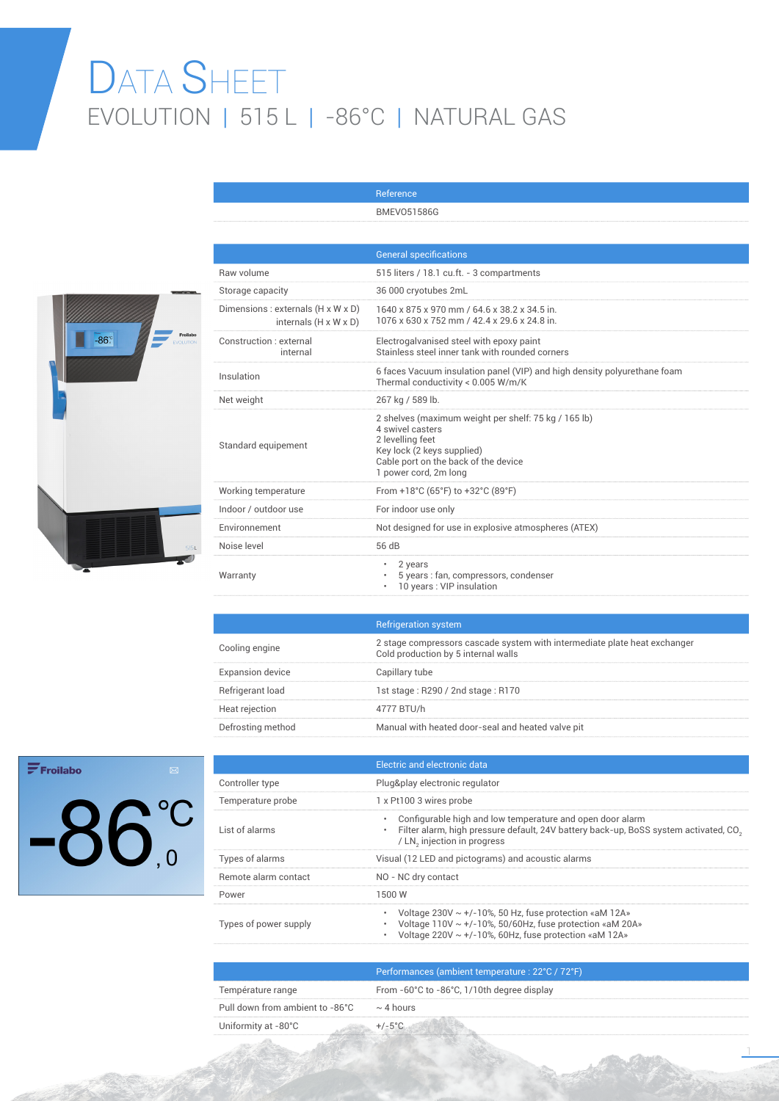## DATA SHEET EVOLUTION | 515 L | -86°C | NATURAL GAS

Reference



|                                                             | <b>BMEV051586G</b>                                                                                                                                                                          |
|-------------------------------------------------------------|---------------------------------------------------------------------------------------------------------------------------------------------------------------------------------------------|
|                                                             |                                                                                                                                                                                             |
|                                                             | <b>General specifications</b>                                                                                                                                                               |
| Raw volume                                                  | 515 liters / 18.1 cu.ft. - 3 compartments                                                                                                                                                   |
| Storage capacity                                            | 36 000 cryotubes 2mL                                                                                                                                                                        |
| Dimensions : externals (H x W x D)<br>internals (H x W x D) | 1640 x 875 x 970 mm / 64.6 x 38.2 x 34.5 in.<br>1076 x 630 x 752 mm / 42.4 x 29.6 x 24.8 in.                                                                                                |
| Construction : external<br>internal                         | Electrogalvanised steel with epoxy paint<br>Stainless steel inner tank with rounded corners                                                                                                 |
| Insulation                                                  | 6 faces Vacuum insulation panel (VIP) and high density polyurethane foam<br>Thermal conductivity < 0.005 W/m/K                                                                              |
| Net weight                                                  | 267 kg / 589 lb.                                                                                                                                                                            |
| Standard equipement                                         | 2 shelves (maximum weight per shelf: 75 kg / 165 lb)<br>4 swivel casters<br>2 levelling feet<br>Key lock (2 keys supplied)<br>Cable port on the back of the device<br>1 power cord, 2m long |
| Working temperature                                         | From +18°C (65°F) to +32°C (89°F)                                                                                                                                                           |
| Indoor / outdoor use                                        | For indoor use only                                                                                                                                                                         |
| Environnement                                               | Not designed for use in explosive atmospheres (ATEX)                                                                                                                                        |
| Noise level                                                 | 56 dB                                                                                                                                                                                       |
| Warranty                                                    | 2 years<br>$\bullet$<br>5 years : fan, compressors, condenser<br>10 years : VIP insulation                                                                                                  |

|                         | <b>Refrigeration system</b>                                                                                      |
|-------------------------|------------------------------------------------------------------------------------------------------------------|
| Cooling engine          | 2 stage compressors cascade system with intermediate plate heat exchanger<br>Cold production by 5 internal walls |
| <b>Expansion device</b> | Capillary tube                                                                                                   |
| Refrigerant load        | 1st stage: R290 / 2nd stage: R170                                                                                |
| Heat rejection          | 4777 BTU/h                                                                                                       |
| Defrosting method       | Manual with heated door-seal and heated valve pit                                                                |

## $\mathbf{F}$ Froilabo  $-86^\circ$

|                       | Electric and electronic data                                                                                                                                                                             |
|-----------------------|----------------------------------------------------------------------------------------------------------------------------------------------------------------------------------------------------------|
| Controller type       | Plug&play electronic regulator                                                                                                                                                                           |
| Temperature probe     | 1 x Pt100 3 wires probe                                                                                                                                                                                  |
| List of alarms        | Configurable high and low temperature and open door alarm<br>۰<br>Filter alarm, high pressure default, 24V battery back-up, BoSS system activated, CO <sub>2</sub><br>۰<br>/ LN, injection in progress   |
| Types of alarms       | Visual (12 LED and pictograms) and acoustic alarms                                                                                                                                                       |
| Remote alarm contact  | NO - NC dry contact                                                                                                                                                                                      |
| Power                 | 1500 W                                                                                                                                                                                                   |
| Types of power supply | Voltage $230V \sim +/-10\%$ , 50 Hz, fuse protection «aM 12A»<br>۰<br>Voltage $110V \sim +/-10\%$ , 50/60Hz, fuse protection «aM 20A»<br>Voltage 220V $\sim$ +/-10%, 60Hz, fuse protection «aM 12A»<br>۰ |
|                       |                                                                                                                                                                                                          |

|                                                | Performances (ambient temperature : 22°C / 72°F) |
|------------------------------------------------|--------------------------------------------------|
| Température range                              | From -60°C to -86°C, 1/10th degree display       |
| Pull down from ambient to -86°C $\sim$ 4 hours |                                                  |
| Uniformity at -80°C                            |                                                  |

1